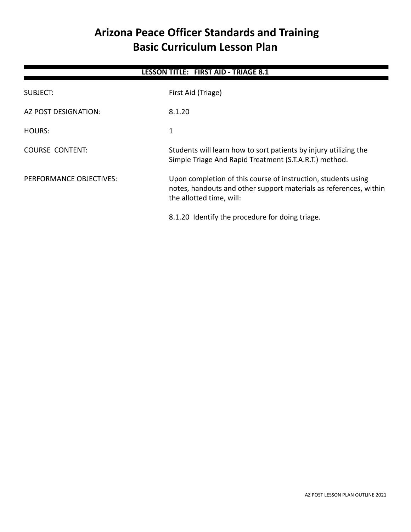# **Arizona Peace Officer Standards and Training Basic Curriculum Lesson Plan**

| <b>LESSON TITLE: FIRST AID - TRIAGE 8.1</b> |                                                                                                                                                                |  |
|---------------------------------------------|----------------------------------------------------------------------------------------------------------------------------------------------------------------|--|
| SUBJECT:                                    | First Aid (Triage)                                                                                                                                             |  |
| AZ POST DESIGNATION:                        | 8.1.20                                                                                                                                                         |  |
| HOURS:                                      | 1                                                                                                                                                              |  |
| COURSE CONTENT:                             | Students will learn how to sort patients by injury utilizing the<br>Simple Triage And Rapid Treatment (S.T.A.R.T.) method.                                     |  |
| PERFORMANCE OBJECTIVES:                     | Upon completion of this course of instruction, students using<br>notes, handouts and other support materials as references, within<br>the allotted time, will: |  |
|                                             | 8.1.20 Identify the procedure for doing triage.                                                                                                                |  |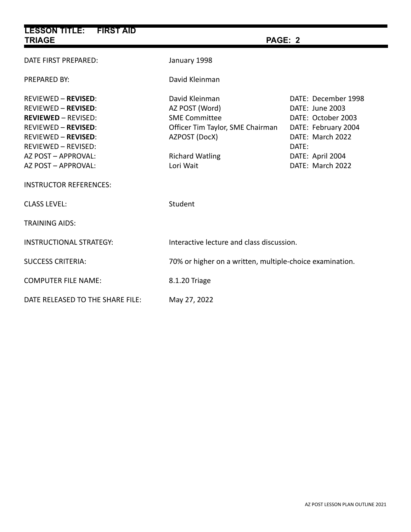| <b>LESSON TITLE: FIRST AID</b><br><b>TRIAGE</b>                                                                                                                                                                                                                 | PAGE: 2                                                                                                                                              |                                                                                                                                                          |
|-----------------------------------------------------------------------------------------------------------------------------------------------------------------------------------------------------------------------------------------------------------------|------------------------------------------------------------------------------------------------------------------------------------------------------|----------------------------------------------------------------------------------------------------------------------------------------------------------|
| DATE FIRST PREPARED:                                                                                                                                                                                                                                            | January 1998                                                                                                                                         |                                                                                                                                                          |
| <b>PREPARED BY:</b>                                                                                                                                                                                                                                             | David Kleinman                                                                                                                                       |                                                                                                                                                          |
| <b>REVIEWED - REVISED:</b><br><b>REVIEWED - REVISED:</b><br><b>REVIEWED - REVISED:</b><br><b>REVIEWED - REVISED:</b><br><b>REVIEWED - REVISED:</b><br><b>REVIEWED - REVISED:</b><br>AZ POST - APPROVAL:<br>AZ POST - APPROVAL:<br><b>INSTRUCTOR REFERENCES:</b> | David Kleinman<br>AZ POST (Word)<br><b>SME Committee</b><br>Officer Tim Taylor, SME Chairman<br>AZPOST (DocX)<br><b>Richard Watling</b><br>Lori Wait | DATE: December 1998<br>DATE: June 2003<br>DATE: October 2003<br>DATE: February 2004<br>DATE: March 2022<br>DATE:<br>DATE: April 2004<br>DATE: March 2022 |
| <b>CLASS LEVEL:</b>                                                                                                                                                                                                                                             | Student                                                                                                                                              |                                                                                                                                                          |
| <b>TRAINING AIDS:</b>                                                                                                                                                                                                                                           |                                                                                                                                                      |                                                                                                                                                          |
| <b>INSTRUCTIONAL STRATEGY:</b>                                                                                                                                                                                                                                  | Interactive lecture and class discussion.                                                                                                            |                                                                                                                                                          |
| <b>SUCCESS CRITERIA:</b>                                                                                                                                                                                                                                        | 70% or higher on a written, multiple-choice examination.                                                                                             |                                                                                                                                                          |
| <b>COMPUTER FILE NAME:</b>                                                                                                                                                                                                                                      | 8.1.20 Triage                                                                                                                                        |                                                                                                                                                          |
| DATE RELEASED TO THE SHARE FILE:                                                                                                                                                                                                                                | May 27, 2022                                                                                                                                         |                                                                                                                                                          |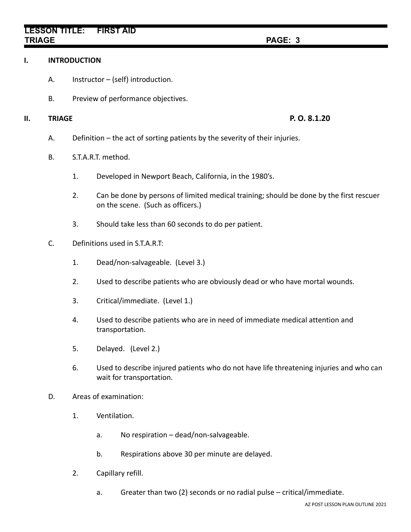## **LESSON TITLE: FIRST AID TRIAGE PAGE: 3**

#### **I. INTRODUCTION**

- A. Instructor (self) introduction.
- B. Preview of performance objectives.

### **II. TRIAGE P. O. 8.1.20**

- A. Definition the act of sorting patients by the severity of their injuries.
- B. S.T.A.R.T. method.
	- 1. Developed in Newport Beach, California, in the 1980's.
	- 2. Can be done by persons of limited medical training; should be done by the first rescuer on the scene. (Such as officers.)
	- 3. Should take less than 60 seconds to do per patient.
- C. Definitions used in S.T.A.R.T:
	- 1. Dead/non-salvageable. (Level 3.)
	- 2. Used to describe patients who are obviously dead or who have mortal wounds.
	- 3. Critical/immediate. (Level 1.)
	- 4. Used to describe patients who are in need of immediate medical attention and transportation.
	- 5. Delayed. (Level 2.)
	- 6. Used to describe injured patients who do not have life threatening injuries and who can wait for transportation.
- D. Areas of examination:
	- 1. Ventilation.
		- a. No respiration dead/non-salvageable.
		- b. Respirations above 30 per minute are delayed.
	- 2. Capillary refill.
		- a. Greater than two (2) seconds or no radial pulse critical/immediate.